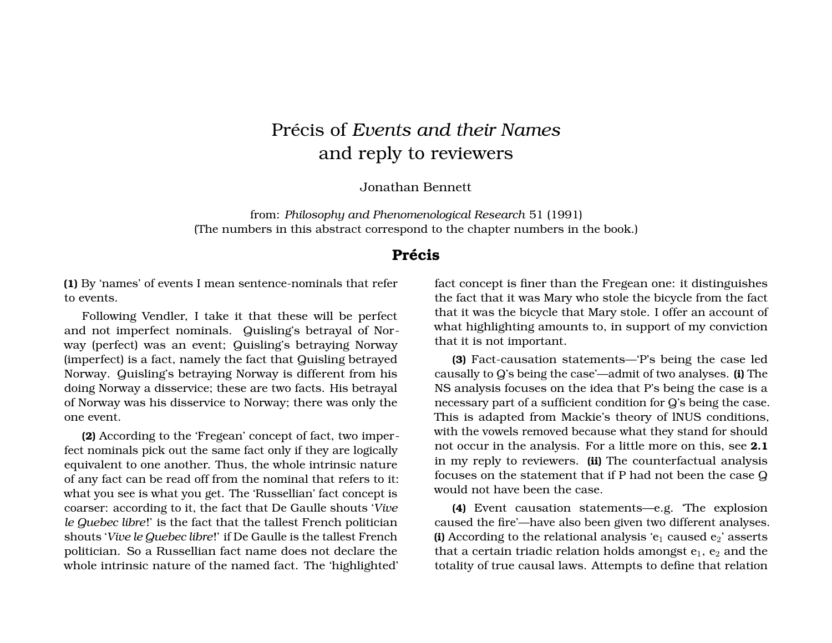# Précis of *Events and their Names* and reply to reviewers

Jonathan Bennett

from: *Philosophy and Phenomenological Research* 51 (1991) (The numbers in this abstract correspond to the chapter numbers in the book.)

## **Précis**

**(1)** By 'names' of events I mean sentence-nominals that refer to events.

Following Vendler, I take it that these will be perfect and not imperfect nominals. Quisling's betrayal of Norway (perfect) was an event; Quisling's betraying Norway (imperfect) is a fact, namely the fact that Quisling betrayed Norway. Quisling's betraying Norway is different from his doing Norway a disservice; these are two facts. His betrayal of Norway was his disservice to Norway; there was only the one event.

**(2)** According to the 'Fregean' concept of fact, two imperfect nominals pick out the same fact only if they are logically equivalent to one another. Thus, the whole intrinsic nature of any fact can be read off from the nominal that refers to it: what you see is what you get. The 'Russellian' fact concept is coarser: according to it, the fact that De Gaulle shouts '*Vive le Quebec libre*!' is the fact that the tallest French politician shouts '*Vive le Quebec libre*!' if De Gaulle is the tallest French politician. So a Russellian fact name does not declare the whole intrinsic nature of the named fact. The 'highlighted' fact concept is finer than the Fregean one: it distinguishes the fact that it was Mary who stole the bicycle from the fact that it was the bicycle that Mary stole. I offer an account of what highlighting amounts to, in support of my conviction that it is not important.

**(3)** Fact-causation statements—'P's being the case led causally to Q's being the case'—admit of two analyses. **(i)** The NS analysis focuses on the idea that P's being the case is a necessary part of a sufficient condition for Q's being the case. This is adapted from Mackie's theory of lNUS conditions, with the vowels removed because what they stand for should not occur in the analysis. For a little more on this, see **2.1** in my reply to reviewers. **(ii)** The counterfactual analysis focuses on the statement that if P had not been the case Q would not have been the case.

**(4)** Event causation statements—e.g. 'The explosion caused the fire'—have also been given two different analyses. **(i)** According to the relational analysis ' $e_1$  caused  $e_2$ ' asserts that a certain triadic relation holds amongst  $e_1$ ,  $e_2$  and the totality of true causal laws. Attempts to define that relation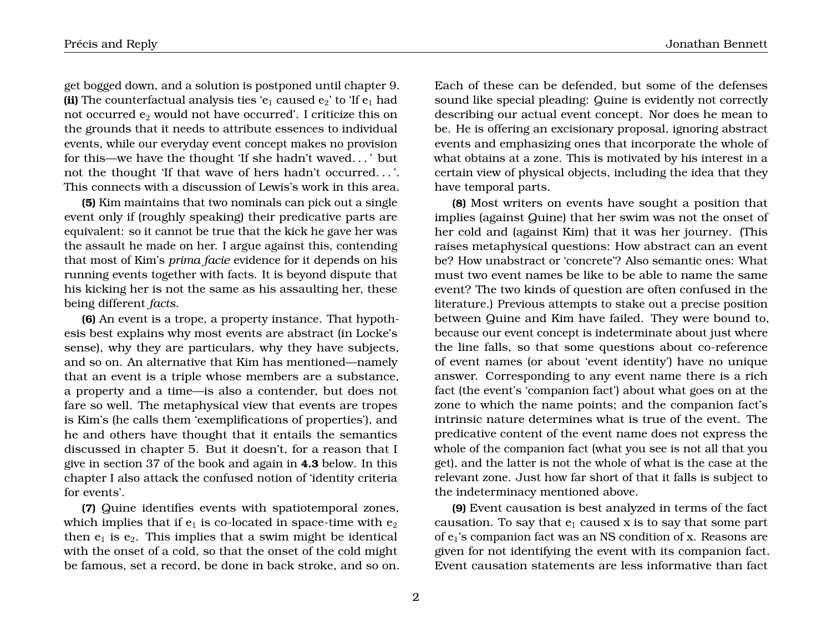get bogged down, and a solution is postponed until chapter 9. **(ii)** The counterfactual analysis ties ' $e_1$  caused  $e_2$ ' to 'If  $e_1$  had not occurred  $e_2$  would not have occurred'. I criticize this on the grounds that it needs to attribute essences to individual events, while our everyday event concept makes no provision for this—we have the thought 'If she hadn't waved. . . ' but not the thought 'If that wave of hers hadn't occurred. . . '. This connects with a discussion of Lewis's work in this area.

**(5)** Kim maintains that two nominals can pick out a single event only if (roughly speaking) their predicative parts are equivalent: so it cannot be true that the kick he gave her was the assault he made on her. I argue against this, contending that most of Kim's *prima facie* evidence for it depends on his running events together with facts. It is beyond dispute that his kicking her is not the same as his assaulting her, these being different *facts*.

**(6)** An event is a trope, a property instance. That hypothesis best explains why most events are abstract (in Locke's sense), why they are particulars, why they have subjects, and so on. An alternative that Kim has mentioned—namely that an event is a triple whose members are a substance, a property and a time—is also a contender, but does not fare so well. The metaphysical view that events are tropes is Kim's (he calls them 'exemplifications of properties'), and he and others have thought that it entails the semantics discussed in chapter 5. But it doesn't, for a reason that I give in section 37 of the book and again in **4.3** below. In this chapter I also attack the confused notion of 'identity criteria for events'.

**(7)** Quine identifies events with spatiotemporal zones, which implies that if  $e_1$  is co-located in space-time with  $e_2$ then  $e_1$  is  $e_2$ . This implies that a swim might be identical with the onset of a cold, so that the onset of the cold might be famous, set a record, be done in back stroke, and so on.

Précis and Reply Jonathan Bennett

Each of these can be defended, but some of the defenses sound like special pleading: Quine is evidently not correctly describing our actual event concept. Nor does he mean to be. He is offering an excisionary proposal, ignoring abstract events and emphasizing ones that incorporate the whole of what obtains at a zone. This is motivated by his interest in a certain view of physical objects, including the idea that they have temporal parts.

**(8)** Most writers on events have sought a position that implies (against Quine) that her swim was not the onset of her cold and (against Kim) that it was her journey. (This raises metaphysical questions: How abstract can an event be? How unabstract or 'concrete'? Also semantic ones: What must two event names be like to be able to name the same event? The two kinds of question are often confused in the literature.) Previous attempts to stake out a precise position between Quine and Kim have failed. They were bound to, because our event concept is indeterminate about just where the line falls, so that some questions about co-reference of event names (or about 'event identity') have no unique answer. Corresponding to any event name there is a rich fact (the event's 'companion fact') about what goes on at the zone to which the name points; and the companion fact's intrinsic nature determines what is true of the event. The predicative content of the event name does not express the whole of the companion fact (what you see is not all that you get), and the latter is not the whole of what is the case at the relevant zone. Just how far short of that it falls is subject to the indeterminacy mentioned above.

**(9)** Event causation is best analyzed in terms of the fact causation. To say that  $e_1$  caused x is to say that some part of e1's companion fact was an NS condition of x. Reasons are given for not identifying the event with its companion fact. Event causation statements are less informative than fact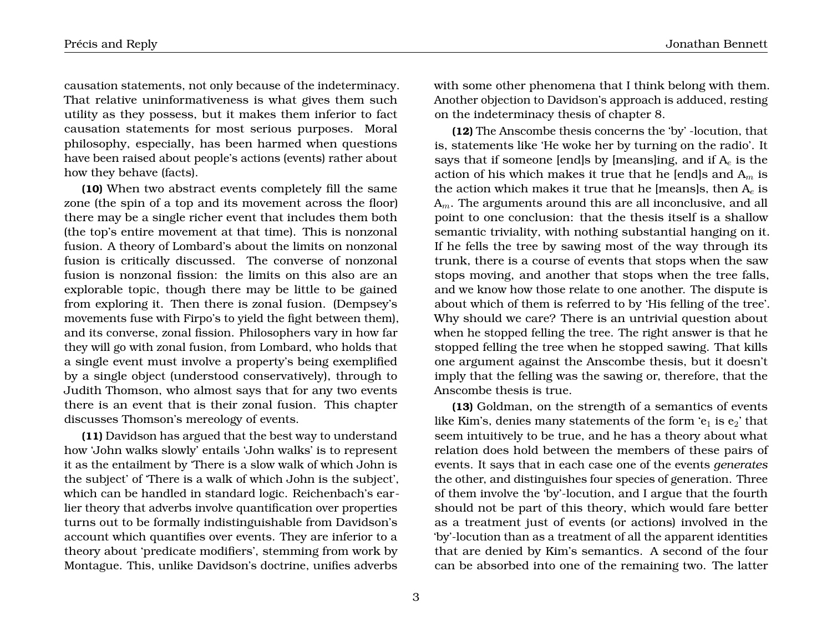causation statements, not only because of the indeterminacy. That relative uninformativeness is what gives them such utility as they possess, but it makes them inferior to fact causation statements for most serious purposes. Moral philosophy, especially, has been harmed when questions have been raised about people's actions (events) rather about how they behave (facts).

**(10)** When two abstract events completely fill the same zone (the spin of a top and its movement across the floor) there may be a single richer event that includes them both (the top's entire movement at that time). This is nonzonal fusion. A theory of Lombard's about the limits on nonzonal fusion is critically discussed. The converse of nonzonal fusion is nonzonal fission: the limits on this also are an explorable topic, though there may be little to be gained from exploring it. Then there is zonal fusion. (Dempsey's movements fuse with Firpo's to yield the fight between them), and its converse, zonal fission. Philosophers vary in how far they will go with zonal fusion, from Lombard, who holds that a single event must involve a property's being exemplified by a single object (understood conservatively), through to Judith Thomson, who almost says that for any two events there is an event that is their zonal fusion. This chapter discusses Thomson's mereology of events.

**(11)** Davidson has argued that the best way to understand how 'John walks slowly' entails 'John walks' is to represent it as the entailment by 'There is a slow walk of which John is the subject' of 'There is a walk of which John is the subject', which can be handled in standard logic. Reichenbach's earlier theory that adverbs involve quantification over properties turns out to be formally indistinguishable from Davidson's account which quantifies over events. They are inferior to a theory about 'predicate modifiers', stemming from work by Montague. This, unlike Davidson's doctrine, unifies adverbs

with some other phenomena that I think belong with them. Another objection to Davidson's approach is adduced, resting on the indeterminacy thesis of chapter 8.

**(12)** The Anscombe thesis concerns the 'by' -locution, that is, statements like 'He woke her by turning on the radio'. It says that if someone [end]s by [means]ing, and if  $A_e$  is the action of his which makes it true that he [end]s and  $A_m$  is the action which makes it true that he [means]s, then  $A_e$  is  $A_m$ . The arguments around this are all inconclusive, and all point to one conclusion: that the thesis itself is a shallow semantic triviality, with nothing substantial hanging on it. If he fells the tree by sawing most of the way through its trunk, there is a course of events that stops when the saw stops moving, and another that stops when the tree falls, and we know how those relate to one another. The dispute is about which of them is referred to by 'His felling of the tree'. Why should we care? There is an untrivial question about when he stopped felling the tree. The right answer is that he stopped felling the tree when he stopped sawing. That kills one argument against the Anscombe thesis, but it doesn't imply that the felling was the sawing or, therefore, that the Anscombe thesis is true.

**(13)** Goldman, on the strength of a semantics of events like Kim's, denies many statements of the form 'e<sub>1</sub> is  $e_2$ ' that seem intuitively to be true, and he has a theory about what relation does hold between the members of these pairs of events. It says that in each case one of the events *generates* the other, and distinguishes four species of generation. Three of them involve the 'by'-locution, and I argue that the fourth should not be part of this theory, which would fare better as a treatment just of events (or actions) involved in the 'by'-locution than as a treatment of all the apparent identities that are denied by Kim's semantics. A second of the four can be absorbed into one of the remaining two. The latter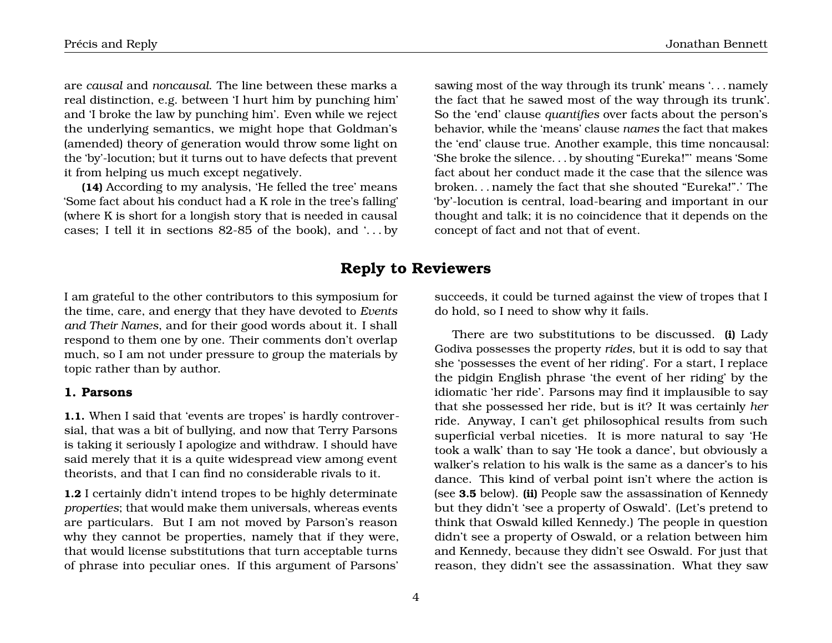are *causal* and *noncausal*. The line between these marks a real distinction, e.g. between 'I hurt him by punching him' and 'I broke the law by punching him'. Even while we reject the underlying semantics, we might hope that Goldman's (amended) theory of generation would throw some light on the 'by'-locution; but it turns out to have defects that prevent it from helping us much except negatively.

**(14)** According to my analysis, 'He felled the tree' means 'Some fact about his conduct had a K role in the tree's falling' (where K is short for a longish story that is needed in causal cases; I tell it in sections  $82-85$  of the book), and  $\ldots$  by

sawing most of the way through its trunk' means '. . . namely the fact that he sawed most of the way through its trunk'. So the 'end' clause *quantifies* over facts about the person's behavior, while the 'means' clause *names* the fact that makes the 'end' clause true. Another example, this time noncausal: 'She broke the silence. . . by shouting "Eureka!"' means 'Some fact about her conduct made it the case that the silence was broken. . . namely the fact that she shouted "Eureka!".' The 'by'-locution is central, load-bearing and important in our thought and talk; it is no coincidence that it depends on the concept of fact and not that of event.

## **Reply to Reviewers**

I am grateful to the other contributors to this symposium for the time, care, and energy that they have devoted to *Events and Their Names*, and for their good words about it. I shall respond to them one by one. Their comments don't overlap much, so I am not under pressure to group the materials by topic rather than by author.

#### **1. Parsons**

**1.1.** When I said that 'events are tropes' is hardly controversial, that was a bit of bullying, and now that Terry Parsons is taking it seriously I apologize and withdraw. I should have said merely that it is a quite widespread view among event theorists, and that I can find no considerable rivals to it.

**1.2** I certainly didn't intend tropes to be highly determinate *properties*; that would make them universals, whereas events are particulars. But I am not moved by Parson's reason why they cannot be properties, namely that if they were, that would license substitutions that turn acceptable turns of phrase into peculiar ones. If this argument of Parsons' succeeds, it could be turned against the view of tropes that I do hold, so I need to show why it fails.

There are two substitutions to be discussed. **(i)** Lady Godiva possesses the property *rides*, but it is odd to say that she 'possesses the event of her riding'. For a start, I replace the pidgin English phrase 'the event of her riding' by the idiomatic 'her ride'. Parsons may find it implausible to say that she possessed her ride, but is it? It was certainly *her* ride. Anyway, I can't get philosophical results from such superficial verbal niceties. It is more natural to say 'He took a walk' than to say 'He took a dance', but obviously a walker's relation to his walk is the same as a dancer's to his dance. This kind of verbal point isn't where the action is (see **3.5** below). **(ii)** People saw the assassination of Kennedy but they didn't 'see a property of Oswald'. (Let's pretend to think that Oswald killed Kennedy.) The people in question didn't see a property of Oswald, or a relation between him and Kennedy, because they didn't see Oswald. For just that reason, they didn't see the assassination. What they saw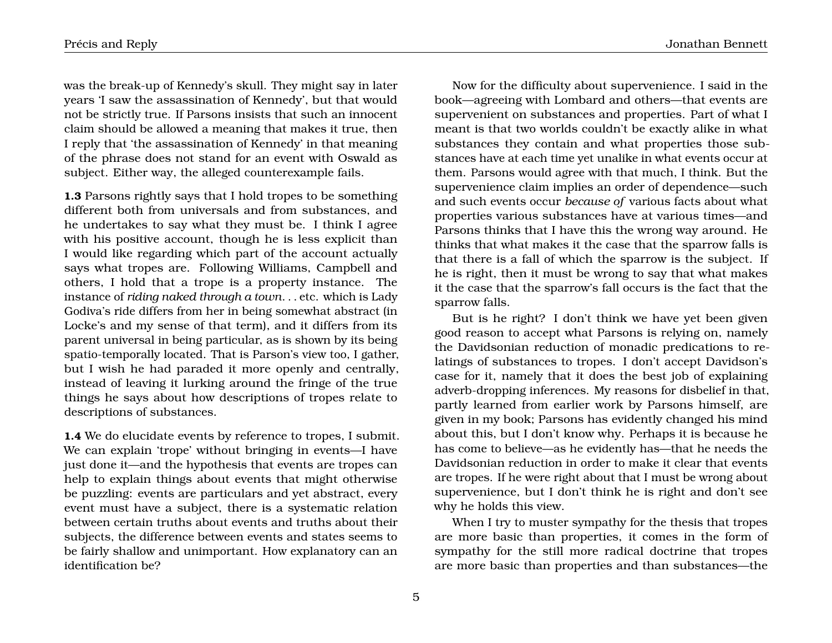was the break-up of Kennedy's skull. They might say in later years 'I saw the assassination of Kennedy', but that would not be strictly true. If Parsons insists that such an innocent claim should be allowed a meaning that makes it true, then I reply that 'the assassination of Kennedy' in that meaning of the phrase does not stand for an event with Oswald as subject. Either way, the alleged counterexample fails.

**1.3** Parsons rightly says that I hold tropes to be something different both from universals and from substances, and he undertakes to say what they must be. I think I agree with his positive account, though he is less explicit than I would like regarding which part of the account actually says what tropes are. Following Williams, Campbell and others, I hold that a trope is a property instance. The instance of *riding naked through a town*. . . etc. which is Lady Godiva's ride differs from her in being somewhat abstract (in Locke's and my sense of that term), and it differs from its parent universal in being particular, as is shown by its being spatio-temporally located. That is Parson's view too, I gather, but I wish he had paraded it more openly and centrally, instead of leaving it lurking around the fringe of the true things he says about how descriptions of tropes relate to descriptions of substances.

**1.4** We do elucidate events by reference to tropes, I submit. We can explain 'trope' without bringing in events—I have just done it—and the hypothesis that events are tropes can help to explain things about events that might otherwise be puzzling: events are particulars and yet abstract, every event must have a subject, there is a systematic relation between certain truths about events and truths about their subjects, the difference between events and states seems to be fairly shallow and unimportant. How explanatory can an identification be?

Now for the difficulty about supervenience. I said in the book—agreeing with Lombard and others—that events are supervenient on substances and properties. Part of what I meant is that two worlds couldn't be exactly alike in what substances they contain and what properties those substances have at each time yet unalike in what events occur at them. Parsons would agree with that much, I think. But the supervenience claim implies an order of dependence—such and such events occur *because of* various facts about what properties various substances have at various times—and Parsons thinks that I have this the wrong way around. He thinks that what makes it the case that the sparrow falls is that there is a fall of which the sparrow is the subject. If he is right, then it must be wrong to say that what makes it the case that the sparrow's fall occurs is the fact that the sparrow falls.

But is he right? I don't think we have yet been given good reason to accept what Parsons is relying on, namely the Davidsonian reduction of monadic predications to relatings of substances to tropes. I don't accept Davidson's case for it, namely that it does the best job of explaining adverb-dropping inferences. My reasons for disbelief in that, partly learned from earlier work by Parsons himself, are given in my book; Parsons has evidently changed his mind about this, but I don't know why. Perhaps it is because he has come to believe—as he evidently has—that he needs the Davidsonian reduction in order to make it clear that events are tropes. If he were right about that I must be wrong about supervenience, but I don't think he is right and don't see why he holds this view.

When I try to muster sympathy for the thesis that tropes are more basic than properties, it comes in the form of sympathy for the still more radical doctrine that tropes are more basic than properties and than substances—the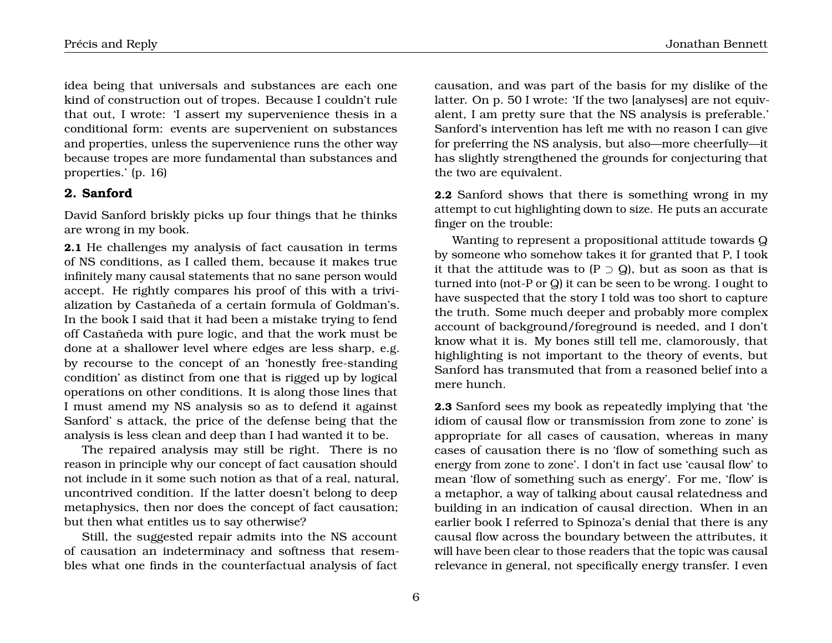idea being that universals and substances are each one kind of construction out of tropes. Because I couldn't rule that out, I wrote: 'I assert my supervenience thesis in a conditional form: events are supervenient on substances and properties, unless the supervenience runs the other way because tropes are more fundamental than substances and properties.' (p. 16)

#### **2. Sanford**

David Sanford briskly picks up four things that he thinks are wrong in my book.

**2.1** He challenges my analysis of fact causation in terms of NS conditions, as I called them, because it makes true infinitely many causal statements that no sane person would accept. He rightly compares his proof of this with a trivialization by Castañeda of a certain formula of Goldman's. In the book I said that it had been a mistake trying to fend off Castañeda with pure logic, and that the work must be done at a shallower level where edges are less sharp, e.g. by recourse to the concept of an 'honestly free-standing condition' as distinct from one that is rigged up by logical operations on other conditions. It is along those lines that I must amend my NS analysis so as to defend it against Sanford' s attack, the price of the defense being that the analysis is less clean and deep than I had wanted it to be.

The repaired analysis may still be right. There is no reason in principle why our concept of fact causation should not include in it some such notion as that of a real, natural, uncontrived condition. If the latter doesn't belong to deep metaphysics, then nor does the concept of fact causation; but then what entitles us to say otherwise?

Still, the suggested repair admits into the NS account of causation an indeterminacy and softness that resembles what one finds in the counterfactual analysis of fact

causation, and was part of the basis for my dislike of the latter. On p. 50 I wrote: 'If the two [analyses] are not equivalent, I am pretty sure that the NS analysis is preferable.' Sanford's intervention has left me with no reason I can give for preferring the NS analysis, but also—more cheerfully—it has slightly strengthened the grounds for conjecturing that the two are equivalent.

**2.2** Sanford shows that there is something wrong in my attempt to cut highlighting down to size. He puts an accurate finger on the trouble:

Wanting to represent a propositional attitude towards Q by someone who somehow takes it for granted that P, I took it that the attitude was to  $(P \supset Q)$ , but as soon as that is turned into (not-P or Q) it can be seen to be wrong. I ought to have suspected that the story I told was too short to capture the truth. Some much deeper and probably more complex account of background/foreground is needed, and I don't know what it is. My bones still tell me, clamorously, that highlighting is not important to the theory of events, but Sanford has transmuted that from a reasoned belief into a mere hunch.

**2.3** Sanford sees my book as repeatedly implying that 'the idiom of causal flow or transmission from zone to zone' is appropriate for all cases of causation, whereas in many cases of causation there is no 'flow of something such as energy from zone to zone'. I don't in fact use 'causal flow' to mean 'flow of something such as energy'. For me, 'flow' is a metaphor, a way of talking about causal relatedness and building in an indication of causal direction. When in an earlier book I referred to Spinoza's denial that there is any causal flow across the boundary between the attributes, it will have been clear to those readers that the topic was causal relevance in general, not specifically energy transfer. I even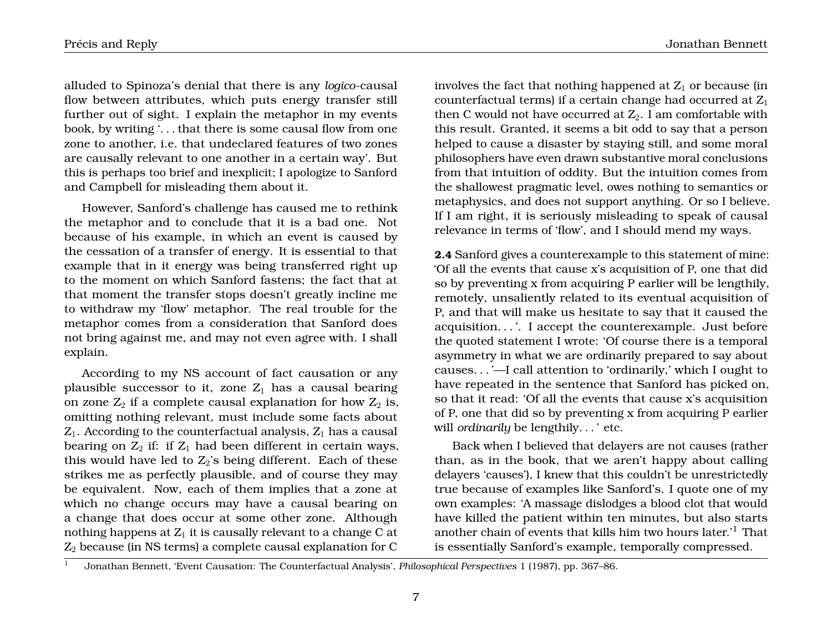alluded to Spinoza's denial that there is any *logico*-causal flow between attributes, which puts energy transfer still further out of sight. I explain the metaphor in my events book, by writing '. . . that there is some causal flow from one zone to another, i.e. that undeclared features of two zones are causally relevant to one another in a certain way'. But this is perhaps too brief and inexplicit; I apologize to Sanford and Campbell for misleading them about it.

However, Sanford's challenge has caused me to rethink the metaphor and to conclude that it is a bad one. Not because of his example, in which an event is caused by the cessation of a transfer of energy. It is essential to that example that in it energy was being transferred right up to the moment on which Sanford fastens; the fact that at that moment the transfer stops doesn't greatly incline me to withdraw my 'flow' metaphor. The real trouble for the metaphor comes from a consideration that Sanford does not bring against me, and may not even agree with. I shall explain.

According to my NS account of fact causation or any plausible successor to it, zone  $Z_1$  has a causal bearing on zone  $Z_2$  if a complete causal explanation for how  $Z_2$  is, omitting nothing relevant, must include some facts about  $Z_1$ . According to the counterfactual analysis,  $Z_1$  has a causal bearing on  $Z_2$  if: if  $Z_1$  had been different in certain ways, this would have led to  $Z_2$ 's being different. Each of these strikes me as perfectly plausible, and of course they may be equivalent. Now, each of them implies that a zone at which no change occurs may have a causal bearing on a change that does occur at some other zone. Although nothing happens at  $Z_1$  it is causally relevant to a change C at  $Z_2$  because (in NS terms) a complete causal explanation for C

involves the fact that nothing happened at  $Z_1$  or because (in counterfactual terms) if a certain change had occurred at  $Z_1$ then C would not have occurred at  $Z_2$ . I am comfortable with this result. Granted, it seems a bit odd to say that a person helped to cause a disaster by staying still, and some moral philosophers have even drawn substantive moral conclusions from that intuition of oddity. But the intuition comes from the shallowest pragmatic level, owes nothing to semantics or metaphysics, and does not support anything. Or so I believe. If I am right, it is seriously misleading to speak of causal relevance in terms of 'flow', and I should mend my ways.

**2.4** Sanford gives a counterexample to this statement of mine: 'Of all the events that cause x's acquisition of P, one that did so by preventing x from acquiring P earlier will be lengthily, remotely, unsaliently related to its eventual acquisition of P, and that will make us hesitate to say that it caused the acquisition. . . '. I accept the counterexample. Just before the quoted statement I wrote: 'Of course there is a temporal asymmetry in what we are ordinarily prepared to say about causes. . . '—I call attention to 'ordinarily,' which I ought to have repeated in the sentence that Sanford has picked on, so that it read: 'Of all the events that cause x's acquisition of P, one that did so by preventing x from acquiring P earlier will *ordinarily* be lengthily. . . ' etc.

Back when I believed that delayers are not causes (rather than, as in the book, that we aren't happy about calling delayers 'causes'), I knew that this couldn't be unrestrictedly true because of examples like Sanford's. I quote one of my own examples: 'A massage dislodges a blood clot that would have killed the patient within ten minutes, but also starts another chain of events that kills him two hours later.'<sup>1</sup> That is essentially Sanford's example, temporally compressed.

<sup>1</sup> Jonathan Bennett, 'Event Causation: The Counterfactual Analysis', *Philosophical Perspectives* 1 (1987), pp. 367–86.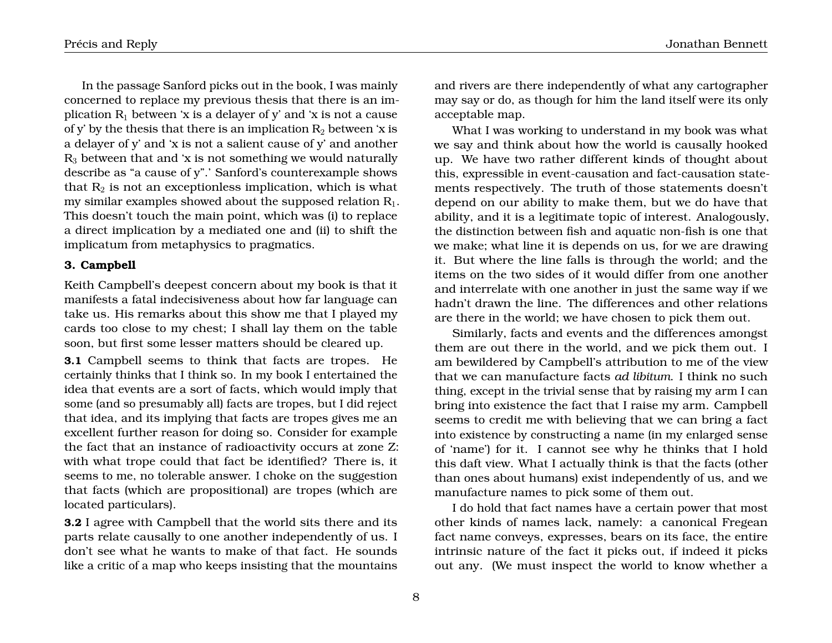In the passage Sanford picks out in the book, I was mainly concerned to replace my previous thesis that there is an implication  $R_1$  between 'x is a delayer of y' and 'x is not a cause of y' by the thesis that there is an implication  $R_2$  between 'x is a delayer of y' and 'x is not a salient cause of y' and another  $R<sub>3</sub>$  between that and 'x is not something we would naturally describe as "a cause of y".' Sanford's counterexample shows that  $R_2$  is not an exceptionless implication, which is what my similar examples showed about the supposed relation  $R_1$ . This doesn't touch the main point, which was (i) to replace a direct implication by a mediated one and (ii) to shift the implicatum from metaphysics to pragmatics.

#### **3. Campbell**

Keith Campbell's deepest concern about my book is that it manifests a fatal indecisiveness about how far language can take us. His remarks about this show me that I played my cards too close to my chest; I shall lay them on the table soon, but first some lesser matters should be cleared up.

**3.1** Campbell seems to think that facts are tropes. He certainly thinks that I think so. In my book I entertained the idea that events are a sort of facts, which would imply that some (and so presumably all) facts are tropes, but I did reject that idea, and its implying that facts are tropes gives me an excellent further reason for doing so. Consider for example the fact that an instance of radioactivity occurs at zone Z: with what trope could that fact be identified? There is, it seems to me, no tolerable answer. I choke on the suggestion that facts (which are propositional) are tropes (which are located particulars).

**3.2** I agree with Campbell that the world sits there and its parts relate causally to one another independently of us. I don't see what he wants to make of that fact. He sounds like a critic of a map who keeps insisting that the mountains and rivers are there independently of what any cartographer may say or do, as though for him the land itself were its only acceptable map.

What I was working to understand in my book was what we say and think about how the world is causally hooked up. We have two rather different kinds of thought about this, expressible in event-causation and fact-causation statements respectively. The truth of those statements doesn't depend on our ability to make them, but we do have that ability, and it is a legitimate topic of interest. Analogously, the distinction between fish and aquatic non-fish is one that we make; what line it is depends on us, for we are drawing it. But where the line falls is through the world; and the items on the two sides of it would differ from one another and interrelate with one another in just the same way if we hadn't drawn the line. The differences and other relations are there in the world; we have chosen to pick them out.

Similarly, facts and events and the differences amongst them are out there in the world, and we pick them out. I am bewildered by Campbell's attribution to me of the view that we can manufacture facts *ad libitum*. I think no such thing, except in the trivial sense that by raising my arm I can bring into existence the fact that I raise my arm. Campbell seems to credit me with believing that we can bring a fact into existence by constructing a name (in my enlarged sense of 'name') for it. I cannot see why he thinks that I hold this daft view. What I actually think is that the facts (other than ones about humans) exist independently of us, and we manufacture names to pick some of them out.

I do hold that fact names have a certain power that most other kinds of names lack, namely: a canonical Fregean fact name conveys, expresses, bears on its face, the entire intrinsic nature of the fact it picks out, if indeed it picks out any. (We must inspect the world to know whether a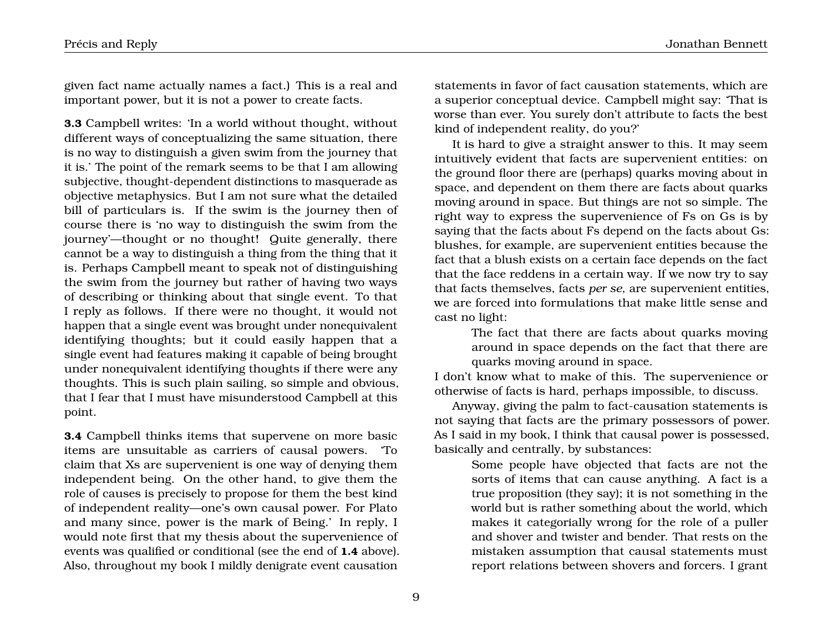given fact name actually names a fact.) This is a real and important power, but it is not a power to create facts.

**3.3** Campbell writes: 'In a world without thought, without different ways of conceptualizing the same situation, there is no way to distinguish a given swim from the journey that it is.' The point of the remark seems to be that I am allowing subjective, thought-dependent distinctions to masquerade as objective metaphysics. But I am not sure what the detailed bill of particulars is. If the swim is the journey then of course there is 'no way to distinguish the swim from the journey'—thought or no thought! Quite generally, there cannot be a way to distinguish a thing from the thing that it is. Perhaps Campbell meant to speak not of distinguishing the swim from the journey but rather of having two ways of describing or thinking about that single event. To that I reply as follows. If there were no thought, it would not happen that a single event was brought under nonequivalent identifying thoughts; but it could easily happen that a single event had features making it capable of being brought under nonequivalent identifying thoughts if there were any thoughts. This is such plain sailing, so simple and obvious, that I fear that I must have misunderstood Campbell at this point.

**3.4** Campbell thinks items that supervene on more basic items are unsuitable as carriers of causal powers. 'To claim that Xs are supervenient is one way of denying them independent being. On the other hand, to give them the role of causes is precisely to propose for them the best kind of independent reality—one's own causal power. For Plato and many since, power is the mark of Being.' In reply, I would note first that my thesis about the supervenience of events was qualified or conditional (see the end of **1.4** above). Also, throughout my book I mildly denigrate event causation

statements in favor of fact causation statements, which are a superior conceptual device. Campbell might say: 'That is worse than ever. You surely don't attribute to facts the best kind of independent reality, do you?'

It is hard to give a straight answer to this. It may seem intuitively evident that facts are supervenient entities: on the ground floor there are (perhaps) quarks moving about in space, and dependent on them there are facts about quarks moving around in space. But things are not so simple. The right way to express the supervenience of Fs on Gs is by saying that the facts about Fs depend on the facts about Gs: blushes, for example, are supervenient entities because the fact that a blush exists on a certain face depends on the fact that the face reddens in a certain way. If we now try to say that facts themselves, facts *per se*, are supervenient entities, we are forced into formulations that make little sense and cast no light:

> The fact that there are facts about quarks moving around in space depends on the fact that there are quarks moving around in space.

I don't know what to make of this. The supervenience or otherwise of facts is hard, perhaps impossible, to discuss.

Anyway, giving the palm to fact-causation statements is not saying that facts are the primary possessors of power. As I said in my book, I think that causal power is possessed, basically and centrally, by substances:

> Some people have objected that facts are not the sorts of items that can cause anything. A fact is a true proposition (they say); it is not something in the world but is rather something about the world, which makes it categorially wrong for the role of a puller and shover and twister and bender. That rests on the mistaken assumption that causal statements must report relations between shovers and forcers. I grant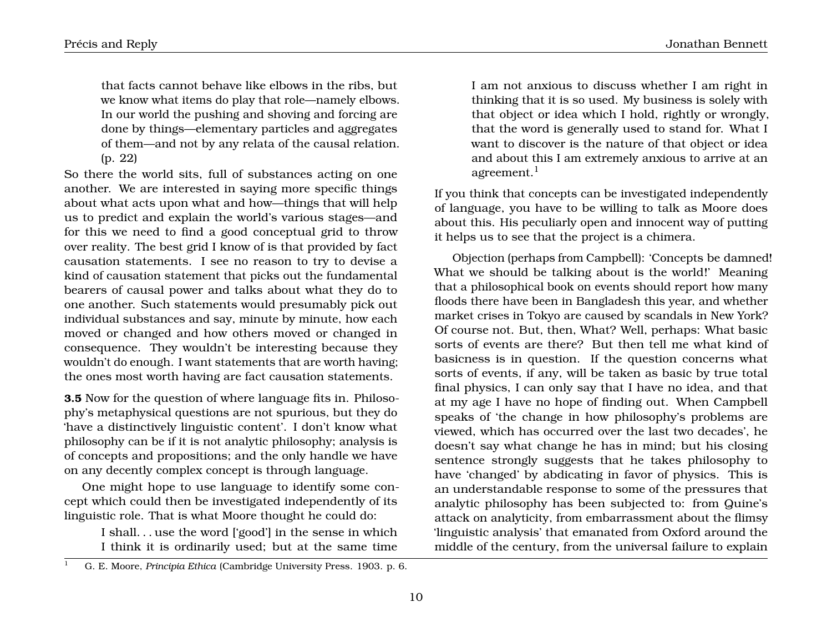that facts cannot behave like elbows in the ribs, but we know what items do play that role—namely elbows. In our world the pushing and shoving and forcing are done by things—elementary particles and aggregates of them—and not by any relata of the causal relation. (p. 22)

So there the world sits, full of substances acting on one another. We are interested in saying more specific things about what acts upon what and how—things that will help us to predict and explain the world's various stages—and for this we need to find a good conceptual grid to throw over reality. The best grid I know of is that provided by fact causation statements. I see no reason to try to devise a kind of causation statement that picks out the fundamental bearers of causal power and talks about what they do to one another. Such statements would presumably pick out individual substances and say, minute by minute, how each moved or changed and how others moved or changed in consequence. They wouldn't be interesting because they wouldn't do enough. I want statements that are worth having; the ones most worth having are fact causation statements.

**3.5** Now for the question of where language fits in. Philosophy's metaphysical questions are not spurious, but they do 'have a distinctively linguistic content'. I don't know what philosophy can be if it is not analytic philosophy; analysis is of concepts and propositions; and the only handle we have on any decently complex concept is through language.

One might hope to use language to identify some concept which could then be investigated independently of its linguistic role. That is what Moore thought he could do:

> I shall. . . use the word ['good'] in the sense in which I think it is ordinarily used; but at the same time

I am not anxious to discuss whether I am right in thinking that it is so used. My business is solely with that object or idea which I hold, rightly or wrongly, that the word is generally used to stand for. What I want to discover is the nature of that object or idea and about this I am extremely anxious to arrive at an agreement. $<sup>1</sup>$ </sup>

If you think that concepts can be investigated independently of language, you have to be willing to talk as Moore does about this. His peculiarly open and innocent way of putting it helps us to see that the project is a chimera.

Objection (perhaps from Campbell): 'Concepts be damned! What we should be talking about is the world!' Meaning that a philosophical book on events should report how many floods there have been in Bangladesh this year, and whether market crises in Tokyo are caused by scandals in New York? Of course not. But, then, What? Well, perhaps: What basic sorts of events are there? But then tell me what kind of basicness is in question. If the question concerns what sorts of events, if any, will be taken as basic by true total final physics, I can only say that I have no idea, and that at my age I have no hope of finding out. When Campbell speaks of 'the change in how philosophy's problems are viewed, which has occurred over the last two decades', he doesn't say what change he has in mind; but his closing sentence strongly suggests that he takes philosophy to have 'changed' by abdicating in favor of physics. This is an understandable response to some of the pressures that analytic philosophy has been subjected to: from Quine's attack on analyticity, from embarrassment about the flimsy 'linguistic analysis' that emanated from Oxford around the middle of the century, from the universal failure to explain

<sup>1</sup> G. E. Moore, *Principia Ethica* (Cambridge University Press. 1903. p. 6.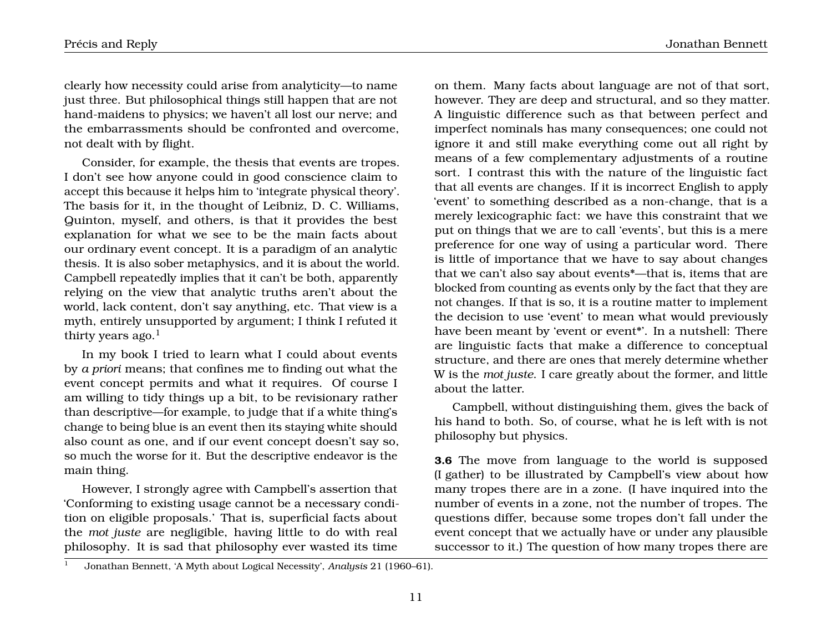clearly how necessity could arise from analyticity—to name just three. But philosophical things still happen that are not hand-maidens to physics; we haven't all lost our nerve; and the embarrassments should be confronted and overcome, not dealt with by flight.

Consider, for example, the thesis that events are tropes. I don't see how anyone could in good conscience claim to accept this because it helps him to 'integrate physical theory'. The basis for it, in the thought of Leibniz, D. C. Williams, Quinton, myself, and others, is that it provides the best explanation for what we see to be the main facts about our ordinary event concept. It is a paradigm of an analytic thesis. It is also sober metaphysics, and it is about the world. Campbell repeatedly implies that it can't be both, apparently relying on the view that analytic truths aren't about the world, lack content, don't say anything, etc. That view is a myth, entirely unsupported by argument; I think I refuted it thirty years  $a\alpha$ <sup>1</sup>

In my book I tried to learn what I could about events by *a priori* means; that confines me to finding out what the event concept permits and what it requires. Of course I am willing to tidy things up a bit, to be revisionary rather than descriptive—for example, to judge that if a white thing's change to being blue is an event then its staying white should also count as one, and if our event concept doesn't say so, so much the worse for it. But the descriptive endeavor is the main thing.

However, I strongly agree with Campbell's assertion that 'Conforming to existing usage cannot be a necessary condition on eligible proposals.' That is, superficial facts about the *mot juste* are negligible, having little to do with real philosophy. It is sad that philosophy ever wasted its time on them. Many facts about language are not of that sort, however. They are deep and structural, and so they matter. A linguistic difference such as that between perfect and imperfect nominals has many consequences; one could not ignore it and still make everything come out all right by means of a few complementary adjustments of a routine sort. I contrast this with the nature of the linguistic fact that all events are changes. If it is incorrect English to apply 'event' to something described as a non-change, that is a merely lexicographic fact: we have this constraint that we put on things that we are to call 'events', but this is a mere preference for one way of using a particular word. There is little of importance that we have to say about changes that we can't also say about events\*—that is, items that are blocked from counting as events only by the fact that they are not changes. If that is so, it is a routine matter to implement the decision to use 'event' to mean what would previously have been meant by 'event or event<sup>\*</sup>'. In a nutshell: There are linguistic facts that make a difference to conceptual structure, and there are ones that merely determine whether W is the *mot juste*. I care greatly about the former, and little about the latter.

Campbell, without distinguishing them, gives the back of his hand to both. So, of course, what he is left with is not philosophy but physics.

**3.6** The move from language to the world is supposed (I gather) to be illustrated by Campbell's view about how many tropes there are in a zone. (I have inquired into the number of events in a zone, not the number of tropes. The questions differ, because some tropes don't fall under the event concept that we actually have or under any plausible successor to it.) The question of how many tropes there are

<sup>1</sup> Jonathan Bennett, 'A Myth about Logical Necessity', *Analysis* 21 (1960–61).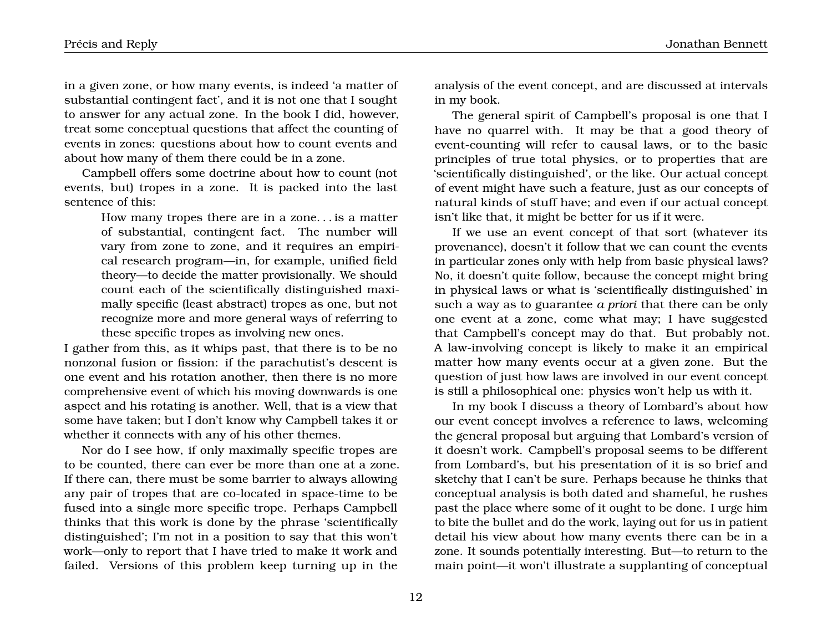in a given zone, or how many events, is indeed 'a matter of substantial contingent fact', and it is not one that I sought to answer for any actual zone. In the book I did, however, treat some conceptual questions that affect the counting of events in zones: questions about how to count events and about how many of them there could be in a zone.

Campbell offers some doctrine about how to count (not events, but) tropes in a zone. It is packed into the last sentence of this:

> How many tropes there are in a zone. . . is a matter of substantial, contingent fact. The number will vary from zone to zone, and it requires an empirical research program—in, for example, unified field theory—to decide the matter provisionally. We should count each of the scientifically distinguished maximally specific (least abstract) tropes as one, but not recognize more and more general ways of referring to these specific tropes as involving new ones.

I gather from this, as it whips past, that there is to be no nonzonal fusion or fission: if the parachutist's descent is one event and his rotation another, then there is no more comprehensive event of which his moving downwards is one aspect and his rotating is another. Well, that is a view that some have taken; but I don't know why Campbell takes it or whether it connects with any of his other themes.

Nor do I see how, if only maximally specific tropes are to be counted, there can ever be more than one at a zone. If there can, there must be some barrier to always allowing any pair of tropes that are co-located in space-time to be fused into a single more specific trope. Perhaps Campbell thinks that this work is done by the phrase 'scientifically distinguished'; I'm not in a position to say that this won't work—only to report that I have tried to make it work and failed. Versions of this problem keep turning up in the analysis of the event concept, and are discussed at intervals in my book.

The general spirit of Campbell's proposal is one that I have no quarrel with. It may be that a good theory of event-counting will refer to causal laws, or to the basic principles of true total physics, or to properties that are 'scientifically distinguished', or the like. Our actual concept of event might have such a feature, just as our concepts of natural kinds of stuff have; and even if our actual concept isn't like that, it might be better for us if it were.

If we use an event concept of that sort (whatever its provenance), doesn't it follow that we can count the events in particular zones only with help from basic physical laws? No, it doesn't quite follow, because the concept might bring in physical laws or what is 'scientifically distinguished' in such a way as to guarantee *a priori* that there can be only one event at a zone, come what may; I have suggested that Campbell's concept may do that. But probably not. A law-involving concept is likely to make it an empirical matter how many events occur at a given zone. But the question of just how laws are involved in our event concept is still a philosophical one: physics won't help us with it.

In my book I discuss a theory of Lombard's about how our event concept involves a reference to laws, welcoming the general proposal but arguing that Lombard's version of it doesn't work. Campbell's proposal seems to be different from Lombard's, but his presentation of it is so brief and sketchy that I can't be sure. Perhaps because he thinks that conceptual analysis is both dated and shameful, he rushes past the place where some of it ought to be done. I urge him to bite the bullet and do the work, laying out for us in patient detail his view about how many events there can be in a zone. It sounds potentially interesting. But—to return to the main point—it won't illustrate a supplanting of conceptual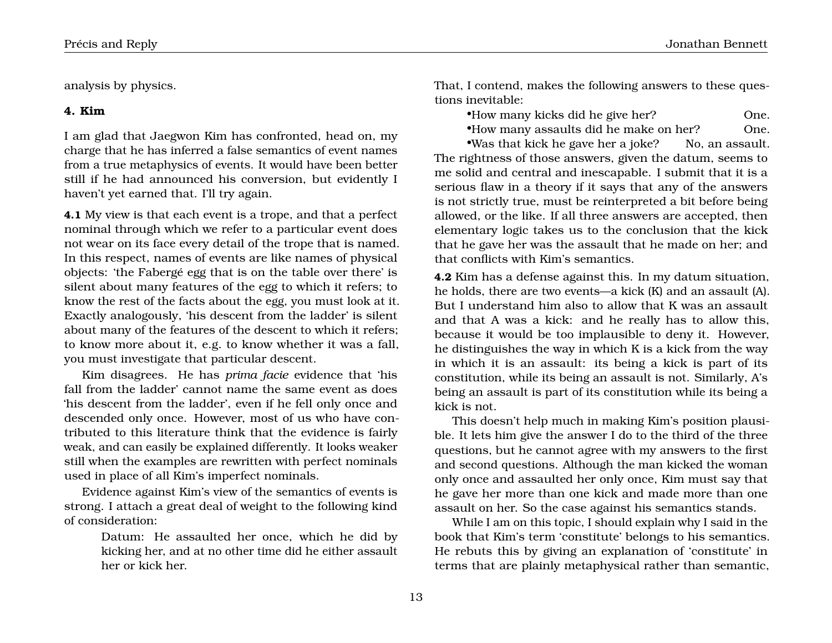analysis by physics.

### **4. Kim**

I am glad that Jaegwon Kim has confronted, head on, my charge that he has inferred a false semantics of event names from a true metaphysics of events. It would have been better still if he had announced his conversion, but evidently I haven't yet earned that. I'll try again.

**4.1** My view is that each event is a trope, and that a perfect nominal through which we refer to a particular event does not wear on its face every detail of the trope that is named. In this respect, names of events are like names of physical objects: 'the Fabergé egg that is on the table over there' is silent about many features of the egg to which it refers; to know the rest of the facts about the egg, you must look at it. Exactly analogously, 'his descent from the ladder' is silent about many of the features of the descent to which it refers; to know more about it, e.g. to know whether it was a fall, you must investigate that particular descent.

Kim disagrees. He has *prima facie* evidence that 'his fall from the ladder' cannot name the same event as does 'his descent from the ladder', even if he fell only once and descended only once. However, most of us who have contributed to this literature think that the evidence is fairly weak, and can easily be explained differently. It looks weaker still when the examples are rewritten with perfect nominals used in place of all Kim's imperfect nominals.

Evidence against Kim's view of the semantics of events is strong. I attach a great deal of weight to the following kind of consideration:

> Datum: He assaulted her once, which he did by kicking her, and at no other time did he either assault her or kick her.

That, I contend, makes the following answers to these questions inevitable:

| *How many kicks did he give her? | One. |
|----------------------------------|------|
|----------------------------------|------|

•How many assaults did he make on her? One.

•Was that kick he gave her a joke? No, an assault. The rightness of those answers, given the datum, seems to me solid and central and inescapable. I submit that it is a serious flaw in a theory if it says that any of the answers is not strictly true, must be reinterpreted a bit before being allowed, or the like. If all three answers are accepted, then elementary logic takes us to the conclusion that the kick that he gave her was the assault that he made on her; and that conflicts with Kim's semantics.

**4.2** Kim has a defense against this. In my datum situation, he holds, there are two events—a kick (K) and an assault (A). But I understand him also to allow that K was an assault and that A was a kick: and he really has to allow this, because it would be too implausible to deny it. However, he distinguishes the way in which K is a kick from the way in which it is an assault: its being a kick is part of its constitution, while its being an assault is not. Similarly, A's being an assault is part of its constitution while its being a kick is not.

This doesn't help much in making Kim's position plausible. It lets him give the answer I do to the third of the three questions, but he cannot agree with my answers to the first and second questions. Although the man kicked the woman only once and assaulted her only once, Kim must say that he gave her more than one kick and made more than one assault on her. So the case against his semantics stands.

While I am on this topic, I should explain why I said in the book that Kim's term 'constitute' belongs to his semantics. He rebuts this by giving an explanation of 'constitute' in terms that are plainly metaphysical rather than semantic,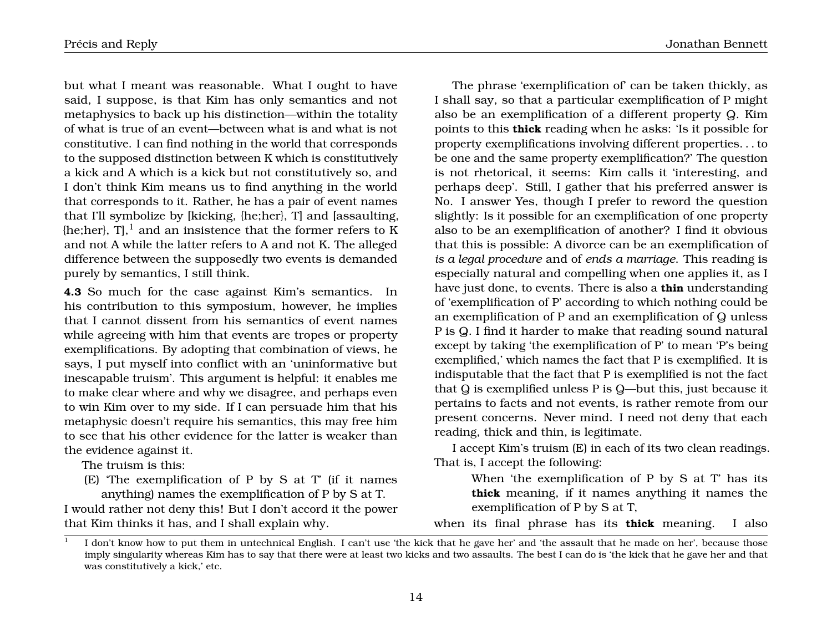but what I meant was reasonable. What I ought to have said, I suppose, is that Kim has only semantics and not metaphysics to back up his distinction—within the totality of what is true of an event—between what is and what is not constitutive. I can find nothing in the world that corresponds to the supposed distinction between K which is constitutively a kick and A which is a kick but not constitutively so, and I don't think Kim means us to find anything in the world that corresponds to it. Rather, he has a pair of event names that I'll symbolize by [kicking, {he;her}, T] and [assaulting,  ${h}$ e;her}, T],<sup>1</sup> and an insistence that the former refers to K and not A while the latter refers to A and not K. The alleged difference between the supposedly two events is demanded purely by semantics, I still think.

**4.3** So much for the case against Kim's semantics. In his contribution to this symposium, however, he implies that I cannot dissent from his semantics of event names while agreeing with him that events are tropes or property exemplifications. By adopting that combination of views, he says, I put myself into conflict with an 'uninformative but inescapable truism'. This argument is helpful: it enables me to make clear where and why we disagree, and perhaps even to win Kim over to my side. If I can persuade him that his metaphysic doesn't require his semantics, this may free him to see that his other evidence for the latter is weaker than the evidence against it.

The truism is this:

(E) 'The exemplification of P by S at T' (if it names anything) names the exemplification of P by S at T.

I would rather not deny this! But I don't accord it the power that Kim thinks it has, and I shall explain why.

Précis and Reply Jonathan Bennett

The phrase 'exemplification of' can be taken thickly, as I shall say, so that a particular exemplification of P might also be an exemplification of a different property Q. Kim points to this **thick** reading when he asks: 'Is it possible for property exemplifications involving different properties. . . to be one and the same property exemplification?' The question is not rhetorical, it seems: Kim calls it 'interesting, and perhaps deep'. Still, I gather that his preferred answer is No. I answer Yes, though I prefer to reword the question slightly: Is it possible for an exemplification of one property also to be an exemplification of another? I find it obvious that this is possible: A divorce can be an exemplification of *is a legal procedure* and of *ends a marriage*. This reading is especially natural and compelling when one applies it, as I have just done, to events. There is also a **thin** understanding of 'exemplification of P' according to which nothing could be an exemplification of P and an exemplification of Q unless P is Q. I find it harder to make that reading sound natural except by taking 'the exemplification of P' to mean 'P's being exemplified,' which names the fact that P is exemplified. It is indisputable that the fact that P is exemplified is not the fact that Q is exemplified unless P is Q—but this, just because it pertains to facts and not events, is rather remote from our present concerns. Never mind. I need not deny that each reading, thick and thin, is legitimate.

I accept Kim's truism (E) in each of its two clean readings. That is, I accept the following:

> When 'the exemplification of P by S at T' has its **thick** meaning, if it names anything it names the exemplification of P by S at T,

when its final phrase has its **thick** meaning. I also

<sup>1</sup> I don't know how to put them in untechnical English. I can't use 'the kick that he gave her' and 'the assault that he made on her', because those imply singularity whereas Kim has to say that there were at least two kicks and two assaults. The best I can do is 'the kick that he gave her and that was constitutively a kick,' etc.